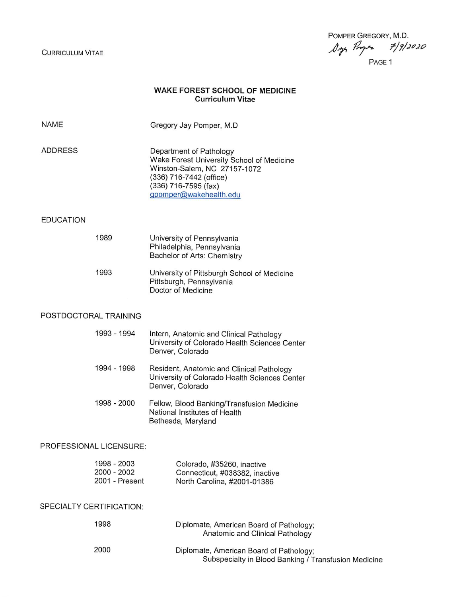**CURRICULUM VITAE** 

POMPER GREGORY, M.D. Days Proper 7/9/2020

PAGE 1

### WAKE FOREST SCHOOL OF MEDICINE **Curriculum Vitae**

| NAME                     |                                              | Gregory Jay Pomper, M.D                                                                                                                                                           |
|--------------------------|----------------------------------------------|-----------------------------------------------------------------------------------------------------------------------------------------------------------------------------------|
| <b>ADDRESS</b>           |                                              | Department of Pathology<br>Wake Forest University School of Medicine<br>Winston-Salem, NC 27157-1072<br>(336) 716-7442 (office)<br>(336) 716-7595 (fax)<br>gpomper@wakehealth.edu |
| <b>EDUCATION</b>         |                                              |                                                                                                                                                                                   |
|                          | 1989                                         | University of Pennsylvania<br>Philadelphia, Pennsylvania<br>Bachelor of Arts: Chemistry                                                                                           |
|                          | 1993                                         | University of Pittsburgh School of Medicine<br>Pittsburgh, Pennsylvania<br>Doctor of Medicine                                                                                     |
| POSTDOCTORAL TRAINING    |                                              |                                                                                                                                                                                   |
|                          | 1993 - 1994                                  | Intern, Anatomic and Clinical Pathology<br>University of Colorado Health Sciences Center<br>Denver, Colorado                                                                      |
|                          | 1994 - 1998                                  | Resident, Anatomic and Clinical Pathology<br>University of Colorado Health Sciences Center<br>Denver, Colorado                                                                    |
|                          | 1998 - 2000                                  | Fellow, Blood Banking/Transfusion Medicine<br>National Institutes of Health<br>Bethesda, Maryland                                                                                 |
| PROFESSIONAL LICENSURE:  |                                              |                                                                                                                                                                                   |
|                          | 1998 - 2003<br>2000 - 2002<br>2001 - Present | Colorado, #35260, inactive<br>Connecticut, #038382, inactive<br>North Carolina, #2001-01386                                                                                       |
| SPECIALTY CERTIFICATION: |                                              |                                                                                                                                                                                   |
|                          | 1998                                         | Diplomate, American Board of Pathology;<br>Anatomic and Clinical Pathology                                                                                                        |
|                          | 2000                                         | Diplomate, American Board of Pathology;<br>Subspecialty in Blood Banking / Transfusion Medicine                                                                                   |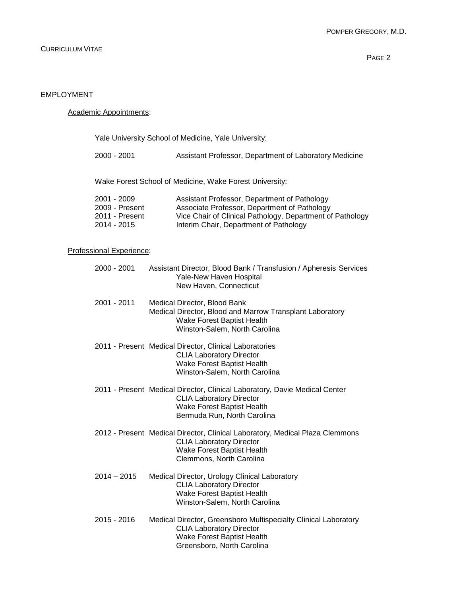### EMPLOYMENT

## Academic Appointments:

Yale University School of Medicine, Yale University:

| 2000 - 2001 | Assistant Professor, Department of Laboratory Medicine |  |
|-------------|--------------------------------------------------------|--|
|-------------|--------------------------------------------------------|--|

Wake Forest School of Medicine, Wake Forest University:

| Vice Chair of Clinical Pathology, Department of Pathology |
|-----------------------------------------------------------|
|                                                           |
|                                                           |

### Professional Experience:

| 2000 - 2001   | Assistant Director, Blood Bank / Transfusion / Apheresis Services<br>Yale-New Haven Hospital<br>New Haven, Connecticut                                                           |
|---------------|----------------------------------------------------------------------------------------------------------------------------------------------------------------------------------|
| 2001 - 2011   | Medical Director, Blood Bank<br>Medical Director, Blood and Marrow Transplant Laboratory<br>Wake Forest Baptist Health<br>Winston-Salem, North Carolina                          |
|               | 2011 - Present Medical Director, Clinical Laboratories<br><b>CLIA Laboratory Director</b><br>Wake Forest Baptist Health<br>Winston-Salem, North Carolina                         |
|               | 2011 - Present Medical Director, Clinical Laboratory, Davie Medical Center<br><b>CLIA Laboratory Director</b><br>Wake Forest Baptist Health<br>Bermuda Run, North Carolina       |
|               | 2012 - Present Medical Director, Clinical Laboratory, Medical Plaza Clemmons<br><b>CLIA Laboratory Director</b><br><b>Wake Forest Baptist Health</b><br>Clemmons, North Carolina |
| $2014 - 2015$ | Medical Director, Urology Clinical Laboratory<br><b>CLIA Laboratory Director</b><br>Wake Forest Baptist Health<br>Winston-Salem, North Carolina                                  |
| 2015 - 2016   | Medical Director, Greensboro Multispecialty Clinical Laboratory<br><b>CLIA Laboratory Director</b><br><b>Wake Forest Baptist Health</b><br>Greensboro, North Carolina            |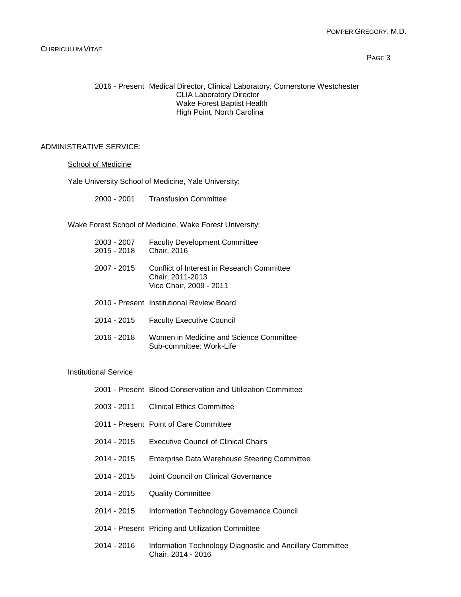PAGE 3

#### 2016 - Present Medical Director, Clinical Laboratory, Cornerstone Westchester CLIA Laboratory Director Wake Forest Baptist Health High Point, North Carolina

## ADMINISTRATIVE SERVICE:

#### **School of Medicine**

Yale University School of Medicine, Yale University:

Wake Forest School of Medicine, Wake Forest University:

| 2003 - 2007<br>$2015 - 2018$ | <b>Faculty Development Committee</b><br>Chair, 2016                                       |
|------------------------------|-------------------------------------------------------------------------------------------|
| 2007 - 2015                  | Conflict of Interest in Research Committee<br>Chair, 2011-2013<br>Vice Chair, 2009 - 2011 |
|                              | 2010 - Present Institutional Review Board                                                 |
| 2014 - 2015                  | <b>Faculty Executive Council</b>                                                          |
| $2016 - 2018$                | Women in Medicine and Science Committee<br>Sub-committee: Work-Life                       |

#### Institutional Service

|  | 2001 - Present Blood Conservation and Utilization Committee |
|--|-------------------------------------------------------------|
|  |                                                             |

- 2003 2011 Clinical Ethics Committee
- 2011 Present Point of Care Committee
- 2014 2015 Executive Council of Clinical Chairs
- 2014 2015 Enterprise Data Warehouse Steering Committee
- 2014 2015 Joint Council on Clinical Governance
- 2014 2015 Quality Committee
- 2014 2015 Information Technology Governance Council
- 2014 Present Pricing and Utilization Committee
- 2014 2016 Information Technology Diagnostic and Ancillary Committee Chair, 2014 - 2016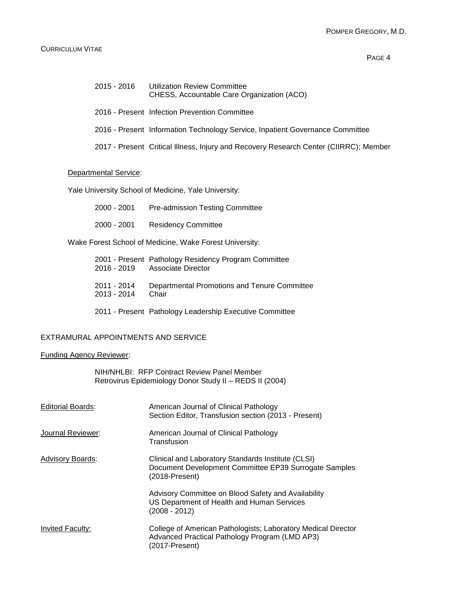### CURRICULUM VITAE

| 2015 - 2016 | Utilization Review Committee<br>CHESS, Accountable Care Organization (ACO)            |
|-------------|---------------------------------------------------------------------------------------|
|             | 2016 - Present Infection Prevention Committee                                         |
|             | 2016 - Present Information Technology Service, Inpatient Governance Committee         |
|             | 2017 - Present Critical Illness, Injury and Recovery Research Center (CIIRRC); Member |
|             |                                                                                       |

# Departmental Service:

Yale University School of Medicine, Yale University:

| 2000 - 2001   | <b>Pre-admission Testing Committee</b>                                                 |
|---------------|----------------------------------------------------------------------------------------|
| $2000 - 2001$ | <b>Residency Committee</b>                                                             |
|               | Wake Forest School of Medicine, Wake Forest University:                                |
|               | 2001 - Present Pathology Residency Program Committee<br>2016 - 2019 Associate Director |
| 2011 - 2014   | Departmental Promotions and Tenure Committee                                           |

- 2013 2014 Chair
- 2011 Present Pathology Leadership Executive Committee

# EXTRAMURAL APPOINTMENTS AND SERVICE

### Funding Agency Reviewer:

NIH/NHLBI: RFP Contract Review Panel Member Retrovirus Epidemiology Donor Study II – REDS II (2004)

| <b>Editorial Boards:</b> | American Journal of Clinical Pathology<br>Section Editor, Transfusion section (2013 - Present)                                    |
|--------------------------|-----------------------------------------------------------------------------------------------------------------------------------|
| Journal Reviewer:        | American Journal of Clinical Pathology<br>Transfusion                                                                             |
| <b>Advisory Boards:</b>  | Clinical and Laboratory Standards Institute (CLSI)<br>Document Development Committee EP39 Surrogate Samples<br>$(2018-Present)$   |
|                          | Advisory Committee on Blood Safety and Availability<br>US Department of Health and Human Services<br>$(2008 - 2012)$              |
| Invited Faculty:         | College of American Pathologists; Laboratory Medical Director<br>Advanced Practical Pathology Program (LMD AP3)<br>(2017-Present) |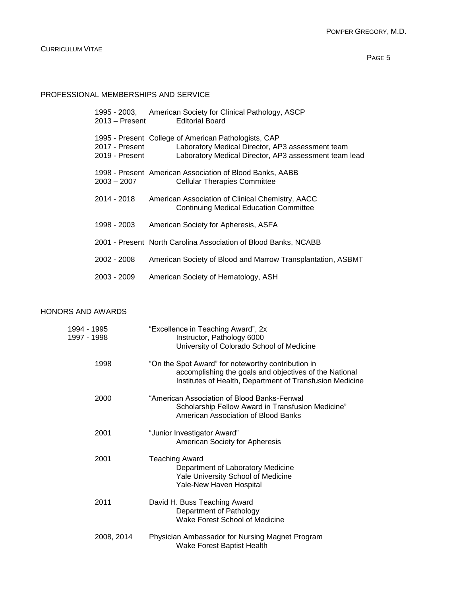#### CURRICULUM VITAE

### PAGE 5

## PROFESSIONAL MEMBERSHIPS AND SERVICE

| $2013 -$ Present                 | 1995 - 2003, American Society for Clinical Pathology, ASCP<br><b>Editorial Board</b>                                                                              |
|----------------------------------|-------------------------------------------------------------------------------------------------------------------------------------------------------------------|
| 2017 - Present<br>2019 - Present | 1995 - Present College of American Pathologists, CAP<br>Laboratory Medical Director, AP3 assessment team<br>Laboratory Medical Director, AP3 assessment team lead |
| 2003 – 2007                      | 1998 - Present American Association of Blood Banks, AABB<br><b>Cellular Therapies Committee</b>                                                                   |
| 2014 - 2018                      | American Association of Clinical Chemistry, AACC<br><b>Continuing Medical Education Committee</b>                                                                 |
| 1998 - 2003                      | American Society for Apheresis, ASFA                                                                                                                              |
|                                  | 2001 - Present North Carolina Association of Blood Banks, NCABB                                                                                                   |
| 2002 - 2008                      | American Society of Blood and Marrow Transplantation, ASBMT                                                                                                       |
| 2003 - 2009                      | American Society of Hematology, ASH                                                                                                                               |

# HONORS AND AWARDS

| 1994 - 1995<br>1997 - 1998 | "Excellence in Teaching Award", 2x<br>Instructor, Pathology 6000<br>University of Colorado School of Medicine                                                            |
|----------------------------|--------------------------------------------------------------------------------------------------------------------------------------------------------------------------|
| 1998                       | "On the Spot Award" for noteworthy contribution in<br>accomplishing the goals and objectives of the National<br>Institutes of Health, Department of Transfusion Medicine |
| 2000                       | "American Association of Blood Banks-Fenwal<br>Scholarship Fellow Award in Transfusion Medicine"<br>American Association of Blood Banks                                  |
| 2001                       | "Junior Investigator Award"<br>American Society for Apheresis                                                                                                            |
| 2001                       | <b>Teaching Award</b><br>Department of Laboratory Medicine<br>Yale University School of Medicine<br>Yale-New Haven Hospital                                              |
| 2011                       | David H. Buss Teaching Award<br>Department of Pathology<br>Wake Forest School of Medicine                                                                                |
| 2008, 2014                 | Physician Ambassador for Nursing Magnet Program<br>Wake Forest Baptist Health                                                                                            |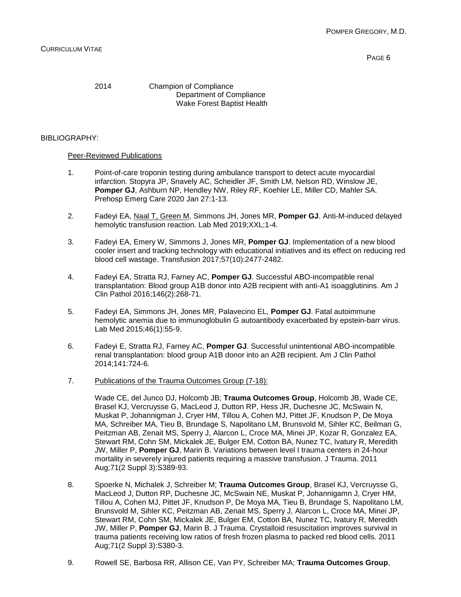PAGE 6

2014 Champion of Compliance Department of Compliance Wake Forest Baptist Health

### BIBLIOGRAPHY:

#### Peer-Reviewed Publications

- 1. Point-of-care troponin testing during ambulance transport to detect acute myocardial infarction. Stopyra JP, Snavely AC, Scheidler JF, Smith LM, Nelson RD, Winslow JE, **Pomper GJ**, Ashburn NP, Hendley NW, Riley RF, Koehler LE, Miller CD, Mahler SA. Prehosp Emerg Care 2020 Jan 27:1-13.
- 2. Fadeyi EA, Naal T, Green M, Simmons JH, Jones MR, **Pomper GJ**. Anti-M-induced delayed hemolytic transfusion reaction. Lab Med 2019;XXL;1-4.
- 3. Fadeyi EA, Emery W, Simmons J, Jones MR, **Pomper GJ**. Implementation of a new blood cooler insert and tracking technology with educational initiatives and its effect on reducing red blood cell wastage. Transfusion 2017;57(10):2477-2482.
- 4. Fadeyi EA, Stratta RJ, Farney AC, **Pomper GJ**. Successful ABO-incompatible renal transplantation: Blood group A1B donor into A2B recipient with anti-A1 isoagglutinins. Am J Clin Pathol 2016;146(2):268-71*.*
- 5. Fadeyi EA, Simmons JH, Jones MR, Palavecino EL, **Pomper GJ**. Fatal autoimmune hemolytic anemia due to immunoglobulin G autoantibody exacerbated by epstein-barr virus. Lab Med 2015;46(1):55-9.
- 6. Fadeyi E, Stratta RJ, Farney AC, **Pomper GJ**. Successful unintentional ABO-incompatible renal transplantation: blood group A1B donor into an A2B recipient. Am J Clin Pathol 2014;141:724-6.
- 7. Publications of the Trauma Outcomes Group (7-18):

Wade CE, del Junco DJ, Holcomb JB; **Trauma Outcomes Group**, Holcomb JB, Wade CE, Brasel KJ, Vercruysse G, MacLeod J, Dutton RP, Hess JR, Duchesne JC, McSwain N, Muskat P, Johannigman J, Cryer HM, Tillou A, Cohen MJ, Pittet JF, Knudson P, De Moya MA, Schreiber MA, Tieu B, Brundage S, Napolitano LM, Brunsvold M, Sihler KC, Beilman G, Peitzman AB, Zenait MS, Sperry J, Alarcon L, Croce MA, Minei JP, Kozar R, Gonzalez EA, Stewart RM, Cohn SM, Mickalek JE, Bulger EM, Cotton BA, Nunez TC, Ivatury R, Meredith JW, Miller P, **Pomper GJ**, Marin B. Variations between level I trauma centers in 24-hour mortality in severely injured patients requiring a massive transfusion. J Trauma. 2011 Aug;71(2 Suppl 3):S389-93.

- 8. Spoerke N, Michalek J, Schreiber M; **Trauma Outcomes Group**, Brasel KJ, Vercruysse G, MacLeod J, Dutton RP, Duchesne JC, McSwain NE, Muskat P, Johannigamn J, Cryer HM, Tillou A, Cohen MJ, Pittet JF, Knudson P, De Moya MA, Tieu B, Brundage S, Napolitano LM, Brunsvold M, Sihler KC, Peitzman AB, Zenait MS, Sperry J, Alarcon L, Croce MA, Minei JP, Stewart RM, Cohn SM, Mickalek JE, Bulger EM, Cotton BA, Nunez TC, Ivatury R, Meredith JW, Miller P, **Pomper GJ**, Marin B. J Trauma. Crystalloid resuscitation improves survival in trauma patients receiving low ratios of fresh frozen plasma to packed red blood cells. 2011 Aug;71(2 Suppl 3):S380-3.
- 9. Rowell SE, Barbosa RR, Allison CE, Van PY, Schreiber MA; **Trauma Outcomes Group**,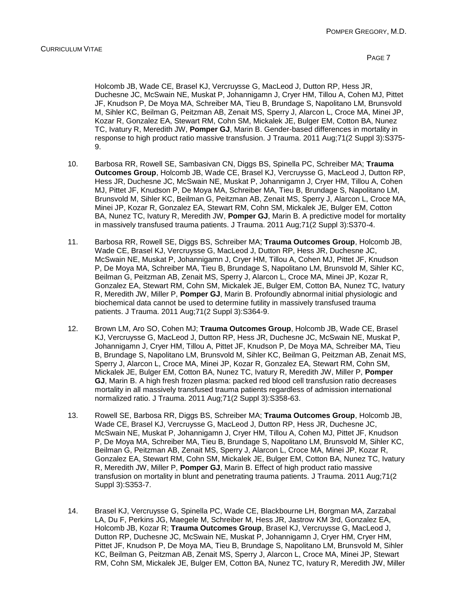Holcomb JB, Wade CE, Brasel KJ, Vercruysse G, MacLeod J, Dutton RP, Hess JR, Duchesne JC, McSwain NE, Muskat P, Johannigamn J, Cryer HM, Tillou A, Cohen MJ, Pittet JF, Knudson P, De Moya MA, Schreiber MA, Tieu B, Brundage S, Napolitano LM, Brunsvold M, Sihler KC, Beilman G, Peitzman AB, Zenait MS, Sperry J, Alarcon L, Croce MA, Minei JP, Kozar R, Gonzalez EA, Stewart RM, Cohn SM, Mickalek JE, Bulger EM, Cotton BA, Nunez TC, Ivatury R, Meredith JW, **Pomper GJ**, Marin B. Gender-based differences in mortality in response to high product ratio massive transfusion. J Trauma. 2011 Aug;71(2 Suppl 3):S375- 9.

- 10. Barbosa RR, Rowell SE, Sambasivan CN, Diggs BS, Spinella PC, Schreiber MA; **Trauma Outcomes Group**, Holcomb JB, Wade CE, Brasel KJ, Vercruysse G, MacLeod J, Dutton RP, Hess JR, Duchesne JC, McSwain NE, Muskat P, Johannigamn J, Cryer HM, Tillou A, Cohen MJ, Pittet JF, Knudson P, De Moya MA, Schreiber MA, Tieu B, Brundage S, Napolitano LM, Brunsvold M, Sihler KC, Beilman G, Peitzman AB, Zenait MS, Sperry J, Alarcon L, Croce MA, Minei JP, Kozar R, Gonzalez EA, Stewart RM, Cohn SM, Mickalek JE, Bulger EM, Cotton BA, Nunez TC, Ivatury R, Meredith JW, **Pomper GJ**, Marin B. A predictive model for mortality in massively transfused trauma patients. J Trauma. 2011 Aug;71(2 Suppl 3):S370-4.
- 11. Barbosa RR, Rowell SE, Diggs BS, Schreiber MA; **Trauma Outcomes Group**, Holcomb JB, Wade CE, Brasel KJ, Vercruysse G, MacLeod J, Dutton RP, Hess JR, Duchesne JC, McSwain NE, Muskat P, Johannigamn J, Cryer HM, Tillou A, Cohen MJ, Pittet JF, Knudson P, De Moya MA, Schreiber MA, Tieu B, Brundage S, Napolitano LM, Brunsvold M, Sihler KC, Beilman G, Peitzman AB, Zenait MS, Sperry J, Alarcon L, Croce MA, Minei JP, Kozar R, Gonzalez EA, Stewart RM, Cohn SM, Mickalek JE, Bulger EM, Cotton BA, Nunez TC, Ivatury R, Meredith JW, Miller P, **Pomper GJ**, Marin B. Profoundly abnormal initial physiologic and biochemical data cannot be used to determine futility in massively transfused trauma patients. J Trauma. 2011 Aug;71(2 Suppl 3):S364-9.
- 12. Brown LM, Aro SO, Cohen MJ; **Trauma Outcomes Group**, Holcomb JB, Wade CE, Brasel KJ, Vercruysse G, MacLeod J, Dutton RP, Hess JR, Duchesne JC, McSwain NE, Muskat P, Johannigamn J, Cryer HM, Tillou A, Pittet JF, Knudson P, De Moya MA, Schreiber MA, Tieu B, Brundage S, Napolitano LM, Brunsvold M, Sihler KC, Beilman G, Peitzman AB, Zenait MS, Sperry J, Alarcon L, Croce MA, Minei JP, Kozar R, Gonzalez EA, Stewart RM, Cohn SM, Mickalek JE, Bulger EM, Cotton BA, Nunez TC, Ivatury R, Meredith JW, Miller P, **Pomper GJ**, Marin B. A high fresh frozen plasma: packed red blood cell transfusion ratio decreases mortality in all massively transfused trauma patients regardless of admission international normalized ratio. J Trauma. 2011 Aug;71(2 Suppl 3):S358-63.
- 13. Rowell SE, Barbosa RR, Diggs BS, Schreiber MA; **Trauma Outcomes Group**, Holcomb JB, Wade CE, Brasel KJ, Vercruysse G, MacLeod J, Dutton RP, Hess JR, Duchesne JC, McSwain NE, Muskat P, Johannigamn J, Cryer HM, Tillou A, Cohen MJ, Pittet JF, Knudson P, De Moya MA, Schreiber MA, Tieu B, Brundage S, Napolitano LM, Brunsvold M, Sihler KC, Beilman G, Peitzman AB, Zenait MS, Sperry J, Alarcon L, Croce MA, Minei JP, Kozar R, Gonzalez EA, Stewart RM, Cohn SM, Mickalek JE, Bulger EM, Cotton BA, Nunez TC, Ivatury R, Meredith JW, Miller P, **Pomper GJ**, Marin B. Effect of high product ratio massive transfusion on mortality in blunt and penetrating trauma patients. J Trauma. 2011 Aug;71(2 Suppl 3):S353-7.
- 14. Brasel KJ, Vercruysse G, Spinella PC, Wade CE, Blackbourne LH, Borgman MA, Zarzabal LA, Du F, Perkins JG, Maegele M, Schreiber M, Hess JR, Jastrow KM 3rd, Gonzalez EA, Holcomb JB, Kozar R; **Trauma Outcomes Group**, Brasel KJ, Vercruysse G, MacLeod J, Dutton RP, Duchesne JC, McSwain NE, Muskat P, Johannigamn J, Cryer HM, Cryer HM, Pittet JF, Knudson P, De Moya MA, Tieu B, Brundage S, Napolitano LM, Brunsvold M, Sihler KC, Beilman G, Peitzman AB, Zenait MS, Sperry J, Alarcon L, Croce MA, Minei JP, Stewart RM, Cohn SM, Mickalek JE, Bulger EM, Cotton BA, Nunez TC, Ivatury R, Meredith JW, Miller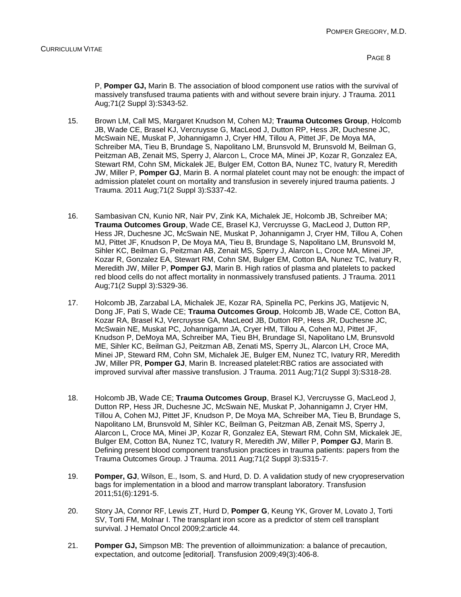P, **Pomper GJ,** Marin B. The association of blood component use ratios with the survival of massively transfused trauma patients with and without severe brain injury. J Trauma. 2011 Aug;71(2 Suppl 3):S343-52.

- 15. Brown LM, Call MS, Margaret Knudson M, Cohen MJ; **Trauma Outcomes Group**, Holcomb JB, Wade CE, Brasel KJ, Vercruysse G, MacLeod J, Dutton RP, Hess JR, Duchesne JC, McSwain NE, Muskat P, Johannigamn J, Cryer HM, Tillou A, Pittet JF, De Moya MA, Schreiber MA, Tieu B, Brundage S, Napolitano LM, Brunsvold M, Brunsvold M, Beilman G, Peitzman AB, Zenait MS, Sperry J, Alarcon L, Croce MA, Minei JP, Kozar R, Gonzalez EA, Stewart RM, Cohn SM, Mickalek JE, Bulger EM, Cotton BA, Nunez TC, Ivatury R, Meredith JW, Miller P, **Pomper GJ**, Marin B. A normal platelet count may not be enough: the impact of admission platelet count on mortality and transfusion in severely injured trauma patients. J Trauma. 2011 Aug;71(2 Suppl 3):S337-42.
- 16. Sambasivan CN, Kunio NR, Nair PV, Zink KA, Michalek JE, Holcomb JB, Schreiber MA; **Trauma Outcomes Group**, Wade CE, Brasel KJ, Vercruysse G, MacLeod J, Dutton RP, Hess JR, Duchesne JC, McSwain NE, Muskat P, Johannigamn J, Cryer HM, Tillou A, Cohen MJ, Pittet JF, Knudson P, De Moya MA, Tieu B, Brundage S, Napolitano LM, Brunsvold M, Sihler KC, Beilman G, Peitzman AB, Zenait MS, Sperry J, Alarcon L, Croce MA, Minei JP, Kozar R, Gonzalez EA, Stewart RM, Cohn SM, Bulger EM, Cotton BA, Nunez TC, Ivatury R, Meredith JW, Miller P, **Pomper GJ**, Marin B. High ratios of plasma and platelets to packed red blood cells do not affect mortality in nonmassively transfused patients. J Trauma. 2011 Aug;71(2 Suppl 3):S329-36.
- 17. Holcomb JB, Zarzabal LA, Michalek JE, Kozar RA, Spinella PC, Perkins JG, Matijevic N, Dong JF, Pati S, Wade CE; **Trauma Outcomes Group**, Holcomb JB, Wade CE, Cotton BA, Kozar RA, Brasel KJ, Vercruysse GA, MacLeod JB, Dutton RP, Hess JR, Duchesne JC, McSwain NE, Muskat PC, Johannigamn JA, Cryer HM, Tillou A, Cohen MJ, Pittet JF, Knudson P, DeMoya MA, Schreiber MA, Tieu BH, Brundage SI, Napolitano LM, Brunsvold ME, Sihler KC, Beilman GJ, Peitzman AB, Zenati MS, Sperry JL, Alarcon LH, Croce MA, Minei JP, Steward RM, Cohn SM, Michalek JE, Bulger EM, Nunez TC, Ivatury RR, Meredith JW, Miller PR, **Pomper GJ**, Marin B. Increased platelet:RBC ratios are associated with improved survival after massive transfusion. J Trauma. 2011 Aug;71(2 Suppl 3):S318-28.
- 18. Holcomb JB, Wade CE; **Trauma Outcomes Group**, Brasel KJ, Vercruysse G, MacLeod J, Dutton RP, Hess JR, Duchesne JC, McSwain NE, Muskat P, Johannigamn J, Cryer HM, Tillou A, Cohen MJ, Pittet JF, Knudson P, De Moya MA, Schreiber MA, Tieu B, Brundage S, Napolitano LM, Brunsvold M, Sihler KC, Beilman G, Peitzman AB, Zenait MS, Sperry J, Alarcon L, Croce MA, Minei JP, Kozar R, Gonzalez EA, Stewart RM, Cohn SM, Mickalek JE, Bulger EM, Cotton BA, Nunez TC, Ivatury R, Meredith JW, Miller P, **Pomper GJ**, Marin B. Defining present blood component transfusion practices in trauma patients: papers from the Trauma Outcomes Group. J Trauma. 2011 Aug;71(2 Suppl 3):S315-7.
- 19. **Pomper, GJ**, Wilson, E., Isom, S. and Hurd, D. D. A validation study of new cryopreservation bags for implementation in a blood and marrow transplant laboratory. Transfusion 2011;51(6):1291-5.
- 20. Story JA, Connor RF, Lewis ZT, Hurd D, **Pomper G**, Keung YK, Grover M, Lovato J, Torti SV, Torti FM, Molnar I. The transplant iron score as a predictor of stem cell transplant survival. J Hematol Oncol 2009;2:article 44.
- 21. **Pomper GJ,** Simpson MB: The prevention of alloimmunization: a balance of precaution, expectation, and outcome [editorial]. Transfusion 2009;49(3):406-8.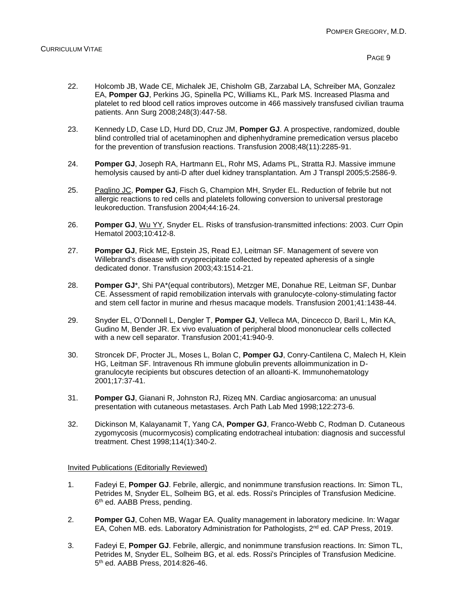- 22. Holcomb JB, Wade CE, Michalek JE, Chisholm GB, Zarzabal LA, Schreiber MA, Gonzalez EA, **Pomper GJ**, Perkins JG, Spinella PC, Williams KL, Park MS. Increased Plasma and platelet to red blood cell ratios improves outcome in 466 massively transfused civilian trauma patients. Ann Surg 2008;248(3):447-58.
- 23. Kennedy LD, Case LD, Hurd DD, Cruz JM, **Pomper GJ**. A prospective, randomized, double blind controlled trial of acetaminophen and diphenhydramine premedication versus placebo for the prevention of transfusion reactions. Transfusion 2008;48(11):2285-91.
- 24. **Pomper GJ**, Joseph RA, Hartmann EL, Rohr MS, Adams PL, Stratta RJ. Massive immune hemolysis caused by anti-D after duel kidney transplantation. Am J Transpl 2005;5:2586-9.
- 25. Paglino JC, **Pomper GJ**, Fisch G, Champion MH, Snyder EL. Reduction of febrile but not allergic reactions to red cells and platelets following conversion to universal prestorage leukoreduction. Transfusion 2004;44:16-24.
- 26. **Pomper GJ**, Wu YY, Snyder EL. Risks of transfusion-transmitted infections: 2003. Curr Opin Hematol 2003;10:412-8.
- 27. **Pomper GJ**, Rick ME, Epstein JS, Read EJ, Leitman SF. Management of severe von Willebrand's disease with cryoprecipitate collected by repeated apheresis of a single dedicated donor. Transfusion 2003;43:1514-21.
- 28. **Pomper GJ**\*, Shi PA\*(equal contributors), Metzger ME, Donahue RE, Leitman SF, Dunbar CE. Assessment of rapid remobilization intervals with granulocyte-colony-stimulating factor and stem cell factor in murine and rhesus macaque models. Transfusion 2001;41:1438-44.
- 29. Snyder EL, O'Donnell L, Dengler T, **Pomper GJ**, Velleca MA, Dincecco D, Baril L, Min KA, Gudino M, Bender JR. Ex vivo evaluation of peripheral blood mononuclear cells collected with a new cell separator. Transfusion 2001;41:940-9.
- 30. Stroncek DF, Procter JL, Moses L, Bolan C, **Pomper GJ**, Conry-Cantilena C, Malech H, Klein HG, Leitman SF. Intravenous Rh immune globulin prevents alloimmunization in Dgranulocyte recipients but obscures detection of an alloanti-K. Immunohematology 2001;17:37-41.
- 31. **Pomper GJ**, Gianani R, Johnston RJ, Rizeq MN. Cardiac angiosarcoma: an unusual presentation with cutaneous metastases. Arch Path Lab Med 1998;122:273-6.
- 32. Dickinson M, Kalayanamit T, Yang CA, **Pomper GJ**, Franco-Webb C, Rodman D. Cutaneous zygomycosis (mucormycosis) complicating endotracheal intubation: diagnosis and successful treatment. Chest 1998;114(1):340-2.

#### Invited Publications (Editorially Reviewed)

- 1. Fadeyi E, **Pomper GJ**. Febrile, allergic, and nonimmune transfusion reactions. In: Simon TL, Petrides M, Snyder EL, Solheim BG, et al. eds. Rossi's Principles of Transfusion Medicine. 6<sup>th</sup> ed. AABB Press, pending.
- 2. **Pomper GJ**, Cohen MB, Wagar EA. Quality management in laboratory medicine. In: Wagar EA, Cohen MB. eds. Laboratory Administration for Pathologists,  $2<sup>nd</sup>$  ed. CAP Press, 2019.
- 3. Fadeyi E, **Pomper GJ**. Febrile, allergic, and nonimmune transfusion reactions. In: Simon TL, Petrides M, Snyder EL, Solheim BG, et al. eds. Rossi's Principles of Transfusion Medicine. 5<sup>th</sup> ed. AABB Press, 2014:826-46.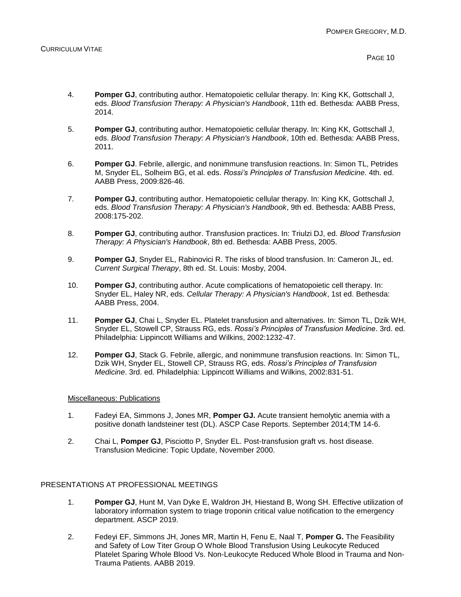- 4. **Pomper GJ**, contributing author. Hematopoietic cellular therapy. In: King KK, Gottschall J, eds. *Blood Transfusion Therapy: A Physician's Handbook*, 11th ed. Bethesda: AABB Press, 2014.
- 5. **Pomper GJ**, contributing author. Hematopoietic cellular therapy. In: King KK, Gottschall J, eds. *Blood Transfusion Therapy: A Physician's Handbook*, 10th ed. Bethesda: AABB Press, 2011.
- 6. **Pomper GJ**. Febrile, allergic, and nonimmune transfusion reactions. In: Simon TL, Petrides M, Snyder EL, Solheim BG, et al. eds. *Rossi's Principles of Transfusion Medicine*. 4th. ed. AABB Press, 2009:826-46.
- 7. **Pomper GJ**, contributing author. Hematopoietic cellular therapy. In: King KK, Gottschall J, eds. *Blood Transfusion Therapy: A Physician's Handbook*, 9th ed. Bethesda: AABB Press, 2008:175-202.
- 8. **Pomper GJ**, contributing author. Transfusion practices. In: Triulzi DJ, ed. *Blood Transfusion Therapy: A Physician's Handbook*, 8th ed. Bethesda: AABB Press, 2005.
- 9. **Pomper GJ**, Snyder EL, Rabinovici R. The risks of blood transfusion. In: Cameron JL, ed. *Current Surgical Therapy*, 8th ed. St. Louis: Mosby, 2004.
- 10. **Pomper GJ**, contributing author. Acute complications of hematopoietic cell therapy. In: Snyder EL, Haley NR, eds. *Cellular Therapy: A Physician's Handbook*, 1st ed. Bethesda: AABB Press, 2004.
- 11. **Pomper GJ**, Chai L, Snyder EL. Platelet transfusion and alternatives. In: Simon TL, Dzik WH, Snyder EL, Stowell CP, Strauss RG, eds. *Rossi's Principles of Transfusion Medicine*. 3rd. ed. Philadelphia: Lippincott Williams and Wilkins, 2002:1232-47.
- 12. **Pomper GJ**, Stack G. Febrile, allergic, and nonimmune transfusion reactions. In: Simon TL, Dzik WH, Snyder EL, Stowell CP, Strauss RG, eds. *Rossi's Principles of Transfusion Medicine*. 3rd. ed. Philadelphia: Lippincott Williams and Wilkins, 2002:831-51.

#### Miscellaneous: Publications

- 1. Fadeyi EA, Simmons J, Jones MR, **Pomper GJ.** Acute transient hemolytic anemia with a positive donath landsteiner test (DL). ASCP Case Reports. September 2014;TM 14-6.
- 2. Chai L, **Pomper GJ**, Pisciotto P, Snyder EL. Post-transfusion graft vs. host disease. Transfusion Medicine: Topic Update, November 2000.

## PRESENTATIONS AT PROFESSIONAL MEETINGS

- 1. **Pomper GJ**, Hunt M, Van Dyke E, Waldron JH, Hiestand B, Wong SH. Effective utilization of laboratory information system to triage troponin critical value notification to the emergency department. ASCP 2019.
- 2. Fedeyi EF, Simmons JH, Jones MR, Martin H, Fenu E, Naal T, **Pomper G.** The Feasibility and Safety of Low Titer Group O Whole Blood Transfusion Using Leukocyte Reduced Platelet Sparing Whole Blood Vs. Non-Leukocyte Reduced Whole Blood in Trauma and Non-Trauma Patients. AABB 2019.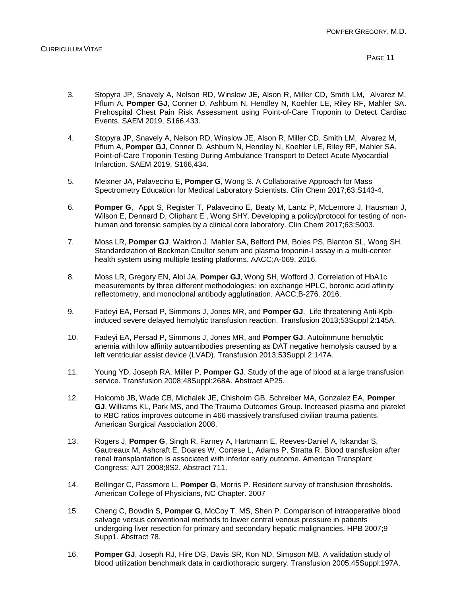- 3. Stopyra JP, Snavely A, Nelson RD, Winslow JE, Alson R, Miller CD, Smith LM, Alvarez M, Pflum A, **Pomper GJ**, Conner D, Ashburn N, Hendley N, Koehler LE, Riley RF, Mahler SA. Prehospital Chest Pain Risk Assessment using Point-of-Care Troponin to Detect Cardiac Events. SAEM 2019, S166,433.
- 4. Stopyra JP, Snavely A, Nelson RD, Winslow JE, Alson R, Miller CD, Smith LM, Alvarez M, Pflum A, **Pomper GJ**, Conner D, Ashburn N, Hendley N, Koehler LE, Riley RF, Mahler SA. Point-of-Care Troponin Testing During Ambulance Transport to Detect Acute Myocardial Infarction. SAEM 2019, S166,434.
- 5. Meixner JA, Palavecino E, **Pomper G**, Wong S. A Collaborative Approach for Mass Spectrometry Education for Medical Laboratory Scientists. Clin Chem 2017;63:S143-4.
- 6. **Pomper G**, Appt S, Register T, Palavecino E, Beaty M, Lantz P, McLemore J, Hausman J, Wilson E, Dennard D, Oliphant E , Wong SHY. Developing a policy/protocol for testing of nonhuman and forensic samples by a clinical core laboratory. Clin Chem 2017;63:S003.
- 7. Moss LR, **Pomper GJ**, Waldron J, Mahler SA, Belford PM, Boles PS, Blanton SL, Wong SH. Standardization of Beckman Coulter serum and plasma troponin-I assay in a multi-center health system using multiple testing platforms. AACC;A-069. 2016.
- 8. Moss LR, Gregory EN, Aloi JA, **Pomper GJ**, Wong SH, Wofford J. Correlation of HbA1c measurements by three different methodologies: ion exchange HPLC, boronic acid affinity reflectometry, and monoclonal antibody agglutination. AACC;B-276. 2016.
- 9. Fadeyi EA, Persad P, Simmons J, Jones MR, and **Pomper GJ**. Life threatening Anti-Kpbinduced severe delayed hemolytic transfusion reaction. Transfusion 2013;53Suppl 2:145A.
- 10. Fadeyi EA, Persad P, Simmons J, Jones MR, and **Pomper GJ**. Autoimmune hemolytic anemia with low affinity autoantibodies presenting as DAT negative hemolysis caused by a left ventricular assist device (LVAD). Transfusion 2013;53Suppl 2:147A.
- 11. Young YD, Joseph RA, Miller P, **Pomper GJ**. Study of the age of blood at a large transfusion service. Transfusion 2008;48Suppl:268A. Abstract AP25.
- 12. Holcomb JB, Wade CB, Michalek JE, Chisholm GB, Schreiber MA, Gonzalez EA, **Pomper GJ**, Williams KL, Park MS, and The Trauma Outcomes Group. Increased plasma and platelet to RBC ratios improves outcome in 466 massively transfused civilian trauma patients. American Surgical Association 2008.
- 13. Rogers J, **Pomper G**, Singh R, Farney A, Hartmann E, Reeves-Daniel A, Iskandar S, Gautreaux M, Ashcraft E, Doares W, Cortese L, Adams P, Stratta R. Blood transfusion after renal transplantation is associated with inferior early outcome. American Transplant Congress; AJT 2008;8S2. Abstract 711.
- 14. Bellinger C, Passmore L, **Pomper G**, Morris P. Resident survey of transfusion thresholds. American College of Physicians, NC Chapter. 2007
- 15. Cheng C, Bowdin S, **Pomper G**, McCoy T, MS, Shen P. Comparison of intraoperative blood salvage versus conventional methods to lower central venous pressure in patients undergoing liver resection for primary and secondary hepatic malignancies. HPB 2007;9 Supp1. Abstract 78.
- 16. **Pomper GJ**, Joseph RJ, Hire DG, Davis SR, Kon ND, Simpson MB. A validation study of blood utilization benchmark data in cardiothoracic surgery. Transfusion 2005;45Suppl:197A.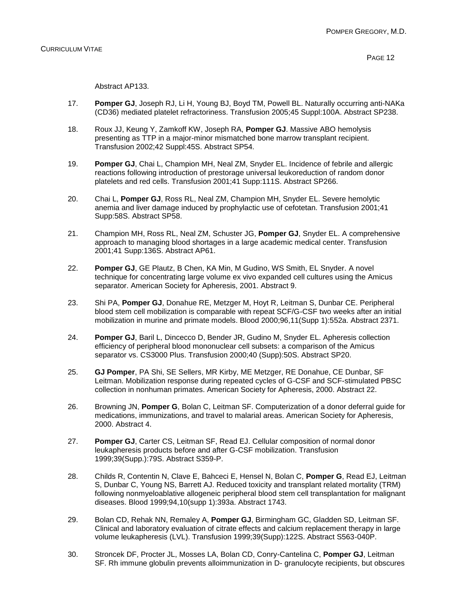Abstract AP133.

- 17. **Pomper GJ**, Joseph RJ, Li H, Young BJ, Boyd TM, Powell BL. Naturally occurring anti-NAKa (CD36) mediated platelet refractoriness. Transfusion 2005;45 Suppl:100A. Abstract SP238.
- 18. Roux JJ, Keung Y, Zamkoff KW, Joseph RA, **Pomper GJ**. Massive ABO hemolysis presenting as TTP in a major-minor mismatched bone marrow transplant recipient. Transfusion 2002;42 Suppl:45S. Abstract SP54.
- 19. **Pomper GJ**, Chai L, Champion MH, Neal ZM, Snyder EL. Incidence of febrile and allergic reactions following introduction of prestorage universal leukoreduction of random donor platelets and red cells. Transfusion 2001;41 Supp:111S. Abstract SP266.
- 20. Chai L, **Pomper GJ**, Ross RL, Neal ZM, Champion MH, Snyder EL. Severe hemolytic anemia and liver damage induced by prophylactic use of cefotetan. Transfusion 2001;41 Supp:58S. Abstract SP58.
- 21. Champion MH, Ross RL, Neal ZM, Schuster JG, **Pomper GJ**, Snyder EL. A comprehensive approach to managing blood shortages in a large academic medical center. Transfusion 2001;41 Supp:136S. Abstract AP61.
- 22. **Pomper GJ**, GE Plautz, B Chen, KA Min, M Gudino, WS Smith, EL Snyder. A novel technique for concentrating large volume ex vivo expanded cell cultures using the Amicus separator. American Society for Apheresis, 2001. Abstract 9.
- 23. Shi PA, **Pomper GJ**, Donahue RE, Metzger M, Hoyt R, Leitman S, Dunbar CE. Peripheral blood stem cell mobilization is comparable with repeat SCF/G-CSF two weeks after an initial mobilization in murine and primate models. Blood 2000;96,11(Supp 1):552a. Abstract 2371.
- 24. **Pomper GJ**, Baril L, Dincecco D, Bender JR, Gudino M, Snyder EL. Apheresis collection efficiency of peripheral blood mononuclear cell subsets: a comparison of the Amicus separator vs. CS3000 Plus. Transfusion 2000;40 (Supp):50S. Abstract SP20.
- 25. **GJ Pomper**, PA Shi, SE Sellers, MR Kirby, ME Metzger, RE Donahue, CE Dunbar, SF Leitman. Mobilization response during repeated cycles of G-CSF and SCF-stimulated PBSC collection in nonhuman primates. American Society for Apheresis, 2000. Abstract 22.
- 26. Browning JN, **Pomper G**, Bolan C, Leitman SF. Computerization of a donor deferral guide for medications, immunizations, and travel to malarial areas. American Society for Apheresis, 2000. Abstract 4.
- 27. **Pomper GJ**, Carter CS, Leitman SF, Read EJ. Cellular composition of normal donor leukapheresis products before and after G-CSF mobilization. Transfusion 1999;39(Supp.):79S. Abstract S359-P.
- 28. Childs R, Contentin N, Clave E, Bahceci E, Hensel N, Bolan C, **Pomper G**, Read EJ, Leitman S, Dunbar C, Young NS, Barrett AJ. Reduced toxicity and transplant related mortality (TRM) following nonmyeloablative allogeneic peripheral blood stem cell transplantation for malignant diseases. Blood 1999;94,10(supp 1):393a. Abstract 1743.
- 29. Bolan CD, Rehak NN, Remaley A, **Pomper GJ**, Birmingham GC, Gladden SD, Leitman SF. Clinical and laboratory evaluation of citrate effects and calcium replacement therapy in large volume leukapheresis (LVL). Transfusion 1999;39(Supp):122S. Abstract S563-040P.
- 30. Stroncek DF, Procter JL, Mosses LA, Bolan CD, Conry-Cantelina C, **Pomper GJ**, Leitman SF. Rh immune globulin prevents alloimmunization in D- granulocyte recipients, but obscures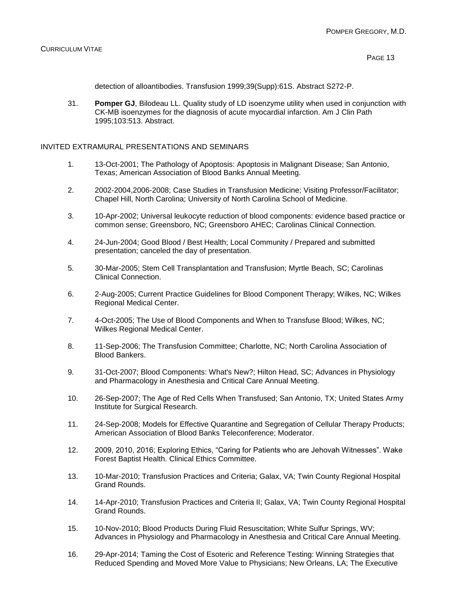detection of alloantibodies. Transfusion 1999;39(Supp):61S. Abstract S272-P.

31. **Pomper GJ**, Bilodeau LL. Quality study of LD isoenzyme utility when used in conjunction with CK-MB isoenzymes for the diagnosis of acute myocardial infarction. Am J Clin Path 1995;103:513. Abstract.

### INVITED EXTRAMURAL PRESENTATIONS AND SEMINARS

- 1. 13-Oct-2001; The Pathology of Apoptosis: Apoptosis in Malignant Disease; San Antonio, Texas; American Association of Blood Banks Annual Meeting.
- 2. 2002-2004,2006-2008; Case Studies in Transfusion Medicine; Visiting Professor/Facilitator; Chapel Hill, North Carolina; University of North Carolina School of Medicine.
- 3. 10-Apr-2002; Universal leukocyte reduction of blood components: evidence based practice or common sense; Greensboro, NC; Greensboro AHEC; Carolinas Clinical Connection.
- 4. 24-Jun-2004; Good Blood / Best Health; Local Community / Prepared and submitted presentation; canceled the day of presentation.
- 5. 30-Mar-2005; Stem Cell Transplantation and Transfusion; Myrtle Beach, SC; Carolinas Clinical Connection.
- 6. 2-Aug-2005; Current Practice Guidelines for Blood Component Therapy; Wilkes, NC; Wilkes Regional Medical Center.
- 7. 4-Oct-2005; The Use of Blood Components and When to Transfuse Blood; Wilkes, NC; Wilkes Regional Medical Center.
- 8. 11-Sep-2006; The Transfusion Committee; Charlotte, NC; North Carolina Association of Blood Bankers.
- 9. 31-Oct-2007; Blood Components: What's New?; Hilton Head, SC; Advances in Physiology and Pharmacology in Anesthesia and Critical Care Annual Meeting.
- 10. 26-Sep-2007; The Age of Red Cells When Transfused; San Antonio, TX; United States Army Institute for Surgical Research.
- 11. 24-Sep-2008; Models for Effective Quarantine and Segregation of Cellular Therapy Products; American Association of Blood Banks Teleconference; Moderator.
- 12. 2009, 2010, 2016; Exploring Ethics, "Caring for Patients who are Jehovah Witnesses". Wake Forest Baptist Health. Clinical Ethics Committee.
- 13. 10-Mar-2010; Transfusion Practices and Criteria; Galax, VA; Twin County Regional Hospital Grand Rounds.
- 14. 14-Apr-2010; Transfusion Practices and Criteria II; Galax, VA; Twin County Regional Hospital Grand Rounds.
- 15. 10-Nov-2010; Blood Products During Fluid Resuscitation; White Sulfur Springs, WV; Advances in Physiology and Pharmacology in Anesthesia and Critical Care Annual Meeting.
- 16. 29-Apr-2014; Taming the Cost of Esoteric and Reference Testing: Winning Strategies that Reduced Spending and Moved More Value to Physicians; New Orleans, LA; The Executive